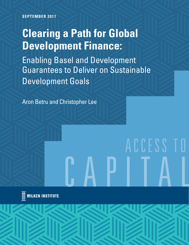**SEPTEMBER 2017**

# **Clearing a Path for Global Development Finance:**

Enabling Basel and Development Guarantees to Deliver on Sustainable Development Goals

Aron Betru and Christopher Lee

# ACCESS T

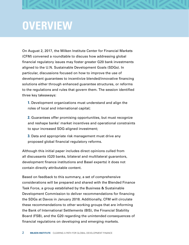## **OVERVIEW**

On August 2, 2017, the Milken Institute Center for Financial Markets (CFM) convened a roundtable to discuss how addressing global financial regulatory issues may foster greater G20 bank investments aligned to the U.N. Sustainable Development Goals (SDGs). In particular, discussions focused on how to improve the use of development guarantees to incentivize blended/innovative financing solutions either through enhanced guarantee structures, or reforms to the regulations and rules that govern them. The session identified three key takeaways:

**1.** Development organizations must understand and align the roles of local and international capital;

**2.** Guarantees offer promising opportunities, but must recognize and reshape banks' market incentives and operational constraints to spur increased SDG-aligned investment;

**3.** Data and appropriate risk management must drive any proposed global financial regulatory reforms.

Although this initial paper includes direct opinions culled from all discussants (G20 banks, bilateral and multilateral guarantors, development finance institutions and Basel experts) it does not contain directly attributable content.

Based on feedback to this summary, a set of comprehensive considerations will be prepared and shared with the Blended Finance Task Force, a group established by the Business & Sustainable Development Commission to deliver recommendations for financing the SDGs at Davos in January 2018. Additionally, CFM will circulate these recommendations to other working groups that are informing the Bank of International Settlements (BIS), the Financial Stability Board (FSB), and the G20 regarding the unintended consequences of financial regulations on developing and emerging markets.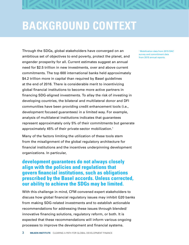

## **BACKGROUND CONTEXT**

Through the SDGs, global stakeholders have converged on an ambitious set of objectives to end poverty, protect the planet, and engender prosperity for all. Current estimates suggest an annual need for \$2.5 trillion in new investments, over and above current commitments. The top 600 international banks held approximately \$4.2 trillion more in capital than required by Basel guidelines at the end of 2016. There is considerable merit to incentivizing global financial institutions to become more active partners in financing SDG-aligned investments. To allay the risk of investing in developing countries, the bilateral and multilateral donor and DFI communities have been providing credit enhancement tools (i.e., development focused guarantees) in a limited way. For example, analysis of multilateral institutions indicates that guarantees represent approximately only 5% of their commitments but generate approximately 45% of their private-sector mobilization.1

Many of the factors limiting the utilization of these tools stem from the misalignment of the global regulatory architecture for financial institutions and the incentives underpinning development organizations. In particular,

#### **development guarantees do not always closely align with the policies and regulations that govern financial institutions, such as obligations prescribed by the Basel accords. Unless corrected, our ability to achieve the SDGs may be limited.**

With this challenge in mind, CFM convened expert stakeholders to discuss how global financial regulatory issues may inhibit G20 banks from making SDG-related investments and to establish actionable recommendations for addressing these issues through blended/ innovative financing solutions, regulatory reform, or both. It is expected that these recommendations will inform various ongoing processes to improve the development and financial systems.

1 Mobilization data from 2015 DAC survey and commitment data from 2015 annual reports.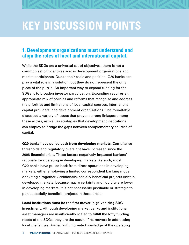#### **1. Development organizations must understand and align the roles of local and international capital.**

While the SDGs are a universal set of objectives, there is not a common set of incentives across development organizations and market participants. Due to their scale and position, G20 banks can play a vital role in a solution, but they do not represent the only piece of the puzzle. An important way to expand funding for the SDGs is to broaden investor participation. Expanding requires an appropriate mix of policies and reforms that recognize and address the priorities and limitations of local capital sources, international capital providers, and development organizations. The roundtable discussed a variety of issues that prevent strong linkages among these actors, as well as strategies that development institutions can employ to bridge the gaps between complementary sources of capital:

**G20 banks have pulled back from developing markets.** Compliance thresholds and regulatory oversight have increased since the 2008 financial crisis. These factors negatively impacted bankers' rationale for operating in developing markets. As such, most G20 banks have pulled back from direct operations in developing markets, either employing a limited correspondent banking model or exiting altogether. Additionally, socially beneficial projects exist in developed markets; because macro certainty and liquidity are lower in developing markets, it is not necessarily justifiable or strategic to pursue socially beneficial projects in these areas.

#### **Local institutions must be the first mover in galvanizing SDG**

**investment.** Although developing market banks and institutional asset managers are insufficiently scaled to fulfill the lofty funding needs of the SDGs, they are the natural first movers in addressing local challenges. Armed with intimate knowledge of the operating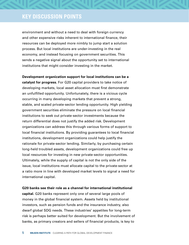environment and without a need to deal with foreign currency and other expensive risks inherent to international finance, their resources can be deployed more nimbly to jump start a solution process. But local institutions are under-investing in the real economy, and instead focusing on government securities. This sends a negative signal about the opportunity set to international institutions that might consider investing in the market.

**Development organization support for local institutions can be a catalyst for progress.** For G20 capital providers to take notice of developing markets, local asset allocation must first demonstrate an unfulfilled opportunity. Unfortunately, there is a vicious cycle occurring in many developing markets that prevent a strong, stable, and scaled private-sector lending opportunity. High yielding government securities eliminate the pressure on local financial institutions to seek out private-sector investments because the return differential does not justify the added risk. Development organizations can address this through various forms of support to local financial institutions. By providing guarantees to local financial institutions, development organizations could help justify the rationale for private-sector lending. Similarly, by purchasing certain long-held troubled assets, development organizations could free up local resources for investing in new private-sector opportunities. Ultimately, while the supply of capital is not the only side of the issue, local institutions must allocate capital to the private-sector at a ratio more in line with developed market levels to signal a need for international capital.

**G20 banks see their role as a channel for international institutional capital.** G20 banks represent only one of several large pools of money in the global financial system. Assets held by institutional investors, such as pension funds and the insurance industry, also dwarf global SDG needs. These industries' appetites for long-term risk is perhaps better suited for development. But the involvement of banks, as primary creators and sellers of financial products, is key to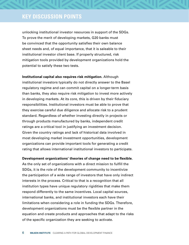unlocking institutional investor resources in support of the SDGs. To prove the merit of developing markets, G20 banks must be convinced that the opportunity satisfies their own balance sheet needs and, of equal importance, that it is saleable to their institutional investor client base. If properly structured, risk mitigation tools provided by development organizations hold the potential to satisfy these two tests.

**Institutional capital also requires risk mitigation.** Although institutional investors typically do not directly answer to the Basel regulatory regime and can commit capital on a longer-term basis than banks, they also require risk mitigation to invest more actively in developing markets. At its core, this is driven by their fiduciary responsibilities. Institutional investors must be able to prove that they exercise careful due diligence and allocate risk to a prudent standard. Regardless of whether investing directly in projects or through products manufactured by banks, independent credit ratings are a critical tool in justifying an investment decision. Given the country ratings and lack of historical data involved in most developing market investment opportunities, development organizations can provide important tools for generating a credit rating that allows international institutional investors to participate.

**Development organizations' theories of change need to be flexible.** 

As the only set of organizations with a direct mission to fulfill the SDGs, it is the role of the development community to incentivize the participation of a wide range of investors that have only indirect interests in the process. Critical to that is a recognition that all institution types have unique regulatory rigidities that make them respond differently to the same incentives. Local capital sources, international banks, and institutional investors each have their limitations when considering a role in funding the SDGs. Therefore, development organizations must be the flexible partner in the equation and create products and approaches that adapt to the risks of the specific organization they are seeking to activate.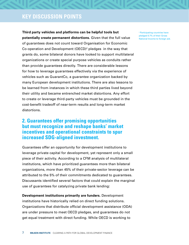**Third party vehicles and platforms can be helpful tools but potentially create permanent distortions.** Given that the full value of guarantees does not count toward Organisation for Economic Co-operation and Development (OECD)<sup>2</sup> pledges in the way that grants do, some bilateral donors have looked to support multilateral organizations or create special purpose vehicles as conduits rather than provide guarantees directly. There are considerable lessons for how to leverage guarantees effectively via the experience of vehicles such as GuarantCo, a guarantee organization backed by many European development institutions. There are also lessons to be learned from instances in which these third parties lived beyond their utility and became entrenched market distortions. Any effort to create or leverage third-party vehicles must be grounded in the cost-benefit tradeoff of near-term results and long-term market distortions.

#### **2. Guarantees offer promising opportunities but must recognize and reshape banks' market incentives and operational constraints to spur increased SDG-aligned investment.**

Guarantees offer an opportunity for development institutions to leverage private capital for development, yet represent only a small piece of their activity. According to a CFM analysis of multilateral institutions, which have prioritized guarantees more than bilateral organizations, more than 45% of their private-sector leverage can be attributed to the 5% of their commitments dedicated to guarantees. Discussants identified several factors that could explain the marginal use of guarantees for catalyzing private bank lending:

**Development institutions primarily are funders.** Development institutions have historically relied on direct funding solutions. Organizations that distribute official development assistance (ODA) are under pressure to meet OECD pledges, and guarantees do not get equal treatment with direct funding. While OECD is working to

2 Participating countries have pledged 0.7% of their Gross National Income to foreign aid.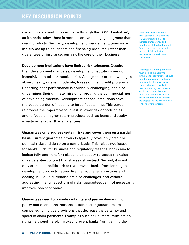correct this accounting asymmetry through the TOSSD initiative<sup>3</sup>, as it stands today, there is more incentive to engage in grants than credit products. Similarly, development finance institutions were initially set up to be lenders and financing products, rather than guarantees or insurance, remains the core of their business.

**Development institutions have limited risk tolerance.** Despite their development mandates, development institutions are not incentivized to take on outsized risk. Aid agencies are not willing to absorb heavy, or even moderate, losses on their credit programs. Reporting poor performance is politically challenging, and also undermines their ultimate mission of proving the commercial merit of developing markets. Development finance institutions have the added burden of needing to be self-sustaining. This burden reinforces the imperative to invest in lower risk opportunities and to focus on higher-return products such as loans and equity investments rather than guarantees.

#### **Guarantees only address certain risks and cover them on a partial**

**basis.** Current guarantee products typically cover only credit or political risks and do so on a partial basis. This raises two issues for banks. First, for business and regulatory reasons, banks aim to isolate fully and transfer risk, so it is not easy to assess the value of a guarantee contract that shares risk instead. Second, it is not only credit and political risks that prevent banks from lending to development projects. Issues like ineffective legal systems and dealing in illiquid currencies are also challenges, and without addressing the full spectrum of risks, guarantees can not necessarily improve loan economics.

**Guarantees need to provide certainty and pay on demand.** For policy and operational reasons, public-sector guarantors are compelled to include provisions that decrease the certainty and speed of claim payments. Examples such as unilateral termination rights<sup>4</sup>, although rarely invoked, prevent banks from gaining the

<sup>3</sup> The Total Official Support for Sustainable Development (TOSSD) initiative aims to increase transparency and monitoring of the development finance landscape by including the use of risk mitigation instruments in development cooperation.

4 Many government guarantors must include the ability to terminate for convenience should their foreign policy priorities or relationship with a particular country change. If invoked, the then outstanding loan balance would be covered, but any future loan drawdowns would not be covered, which impacts the project and the certainty of a lender's revenue stream.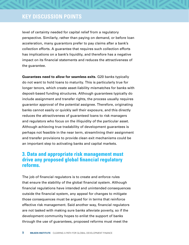level of certainty needed for capital relief from a regulatory perspective. Similarly, rather than paying on demand, or before loan acceleration, many guarantors prefer to pay claims after a bank's collection efforts. A guarantee that requires such collection efforts has implications on a bank's liquidity, and therefore has a negative impact on its financial statements and reduces the attractiveness of the guarantee.

**Guarantees need to allow for seamless exits.** G20 banks typically do not want to hold loans to maturity. This is particularly true for longer tenors, which create asset-liability mismatches for banks with deposit-based funding structures. Although guarantees typically do include assignment and transfer rights, the process usually requires guarantor approval of the potential assignee. Therefore, originating banks cannot easily or quickly sell their exposure, and this directly reduces the attractiveness of guaranteed loans to risk managers and regulators who focus on the illiquidity of the particular asset. Although achieving true tradability of development guarantees is perhaps not feasible in the near term, streamlining their assignment and transfer provisions to provide clean exit mechanisms could be an important step to activating banks and capital markets.

#### **3. Data and appropriate risk management must drive any proposed global financial regulatory reforms.**

The job of financial regulators is to create and enforce rules that ensure the stability of the global financial system. Although financial regulations have intended and unintended consequences outside the financial system, any appeal for changes to mitigate those consequences must be argued for in terms that reinforce effective risk management. Said another way, financial regulators are not tasked with making sure banks alleviate poverty, so if the development community hopes to enlist the support of banks through the use of guarantees, proposed reforms must meet the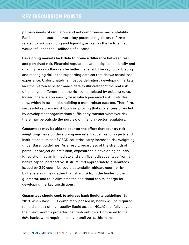primary needs of regulators and not compromise macro stability. Participants discussed several key potential regulatory reforms related to risk weighting and liquidity, as well as the factors that would influence the likelihood of success:

**Developing markets lack data to prove a difference between real and perceived risk.** Financial regulations are designed to identify and quantify risks so they can be better managed. The key to calibrating and managing risk is the supporting data set that shows actual loss experience. Unfortunately, almost by definition, developing markets lack the historical performance data to illustrate that the real risk of lending is different than the risk contemplated by existing rules. Indeed, there is a vicious cycle in which perceived risk limits deal flow, which in turn limits building a more robust data set. Therefore, successful reforms must focus on proving that guarantees provided by development organizations sufficiently transfer whatever risk there may be outside the purview of financial-sector regulators.

**Guarantees may be able to counter the effect that country risk weightings have on developing markets.** Exposures to projects and institutions outside of OECD countries carry increased risk weighting under Basel guidelines. As a result, regardless of the strength of particular project or institution, exposure to a developing country jurisdiction has an immediate and significant disadvantage from a bank's capital perspective. If structured appropriately, guarantees issued by G20 countries could potentially mitigate country risk by transferring risk (rather than sharing) from the lender to the guarantor, and thus eliminate the additional capital charge for developing market jurisdictions.

**Guarantees should seek to address bank liquidity guidelines.** By 2019, when Basel III is completely phased in, banks will be required to hold a stock of high-quality liquid assets (HQLA) that fully covers their next month's projected net cash outflows. Compared to the 60% banks were required to cover until 2016, this increased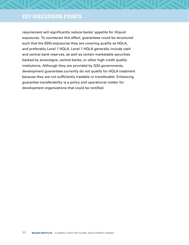requirement will significantly reduce banks' appetite for illiquid exposures. To counteract this effect, guarantees could be structured such that the SDG-exposures they are covering qualify as HQLA, and preferably Level 1 HQLA. Level 1 HQLA generally include cash and central bank reserves, as well as certain marketable securities backed by sovereigns, central banks, or other high credit quality institutions. Although they are provided by G20 governments, development guarantees currently do not qualify for HQLA treatment because they are not sufficiently tradable or transferable. Enhancing guarantee transferability is a policy and operational matter for development organizations that could be rectified.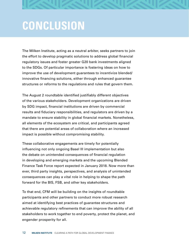

## **CONCLUSION**

The Milken Institute, acting as a neutral arbiter, seeks partners to join the effort to develop pragmatic solutions to address global financial regulatory issues and foster greater G20 bank investments aligned to the SDGs. Of particular importance is fostering ideas on how to improve the use of development guarantees to incentivize blended/ innovative financing solutions, either through enhanced guarantee structures or reforms to the regulations and rules that govern them.

The August 2 roundtable identified justifiably different objectives of the various stakeholders. Development organizations are driven by SDG impact, financial institutions are driven by commercial results and fiduciary responsibilities, and regulators are driven by a mandate to ensure stability in global financial markets. Nonetheless, all elements of the ecosystem are critical, and participants agreed that there are potential areas of collaboration where an increased impact is possible without compromising stability.

These collaborative engagements are timely for potentially influencing not only ongoing Basel III implementation but also the debate on unintended consequences of financial regulation in developing and emerging markets and the upcoming Blended Finance Task Force report expected in January 2018. Now more than ever, third party insights, perspectives, and analysis of unintended consequences can play a vital role in helping to shape the path forward for the BIS, FSB, and other key stakeholders.

To that end, CFM will be building on the insights of roundtable participants and other partners to conduct more robust research aimed at identifying best practices of guarantee structures and achievable regulatory refinements that can improve the ability of all stakeholders to work together to end poverty, protect the planet, and engender prosperity for all.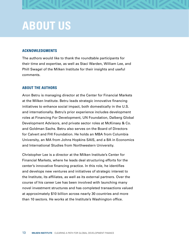

## **ABOUT US**

#### **ACKNOWLEDGMENTS**

The authors would like to thank the roundtable participants for their time and expertise, as well as Staci Warden, William Lee, and Phill Swagel of the Milken Institute for their insights and useful comments.

#### **ABOUT THE AUTHORS**

Aron Betru is managing director at the Center for Financial Markets at the Milken Institute. Betru leads strategic innovative financing initiatives to enhance social impact, both domestically in the U.S. and internationally. Betru's prior experience includes development roles at Financing For Development, UN Foundation, Dalberg Global Development Advisors, and private sector roles at McKinsey & Co. and Goldman Sachs. Betru also serves on the Board of Directors for Calvert and FHI Foundation. He holds an MBA from Columbia University, an MA from Johns Hopkins SAIS, and a BA in Economics and International Studies from Northwestern University.

Christopher Lee is a director at the Milken Institute's Center for Financial Markets, where he leads deal structuring efforts for the center's innovative financing practice. In this role, he identifies and develops new ventures and initiatives of strategic interest to the Institute, its affiliates, as well as its external partners. Over the course of his career Lee has been involved with launching many novel investment structures and has completed transactions valued at approximately \$10 billion across nearly 30 countries and more than 10 sectors. He works at the Institute's Washington office.